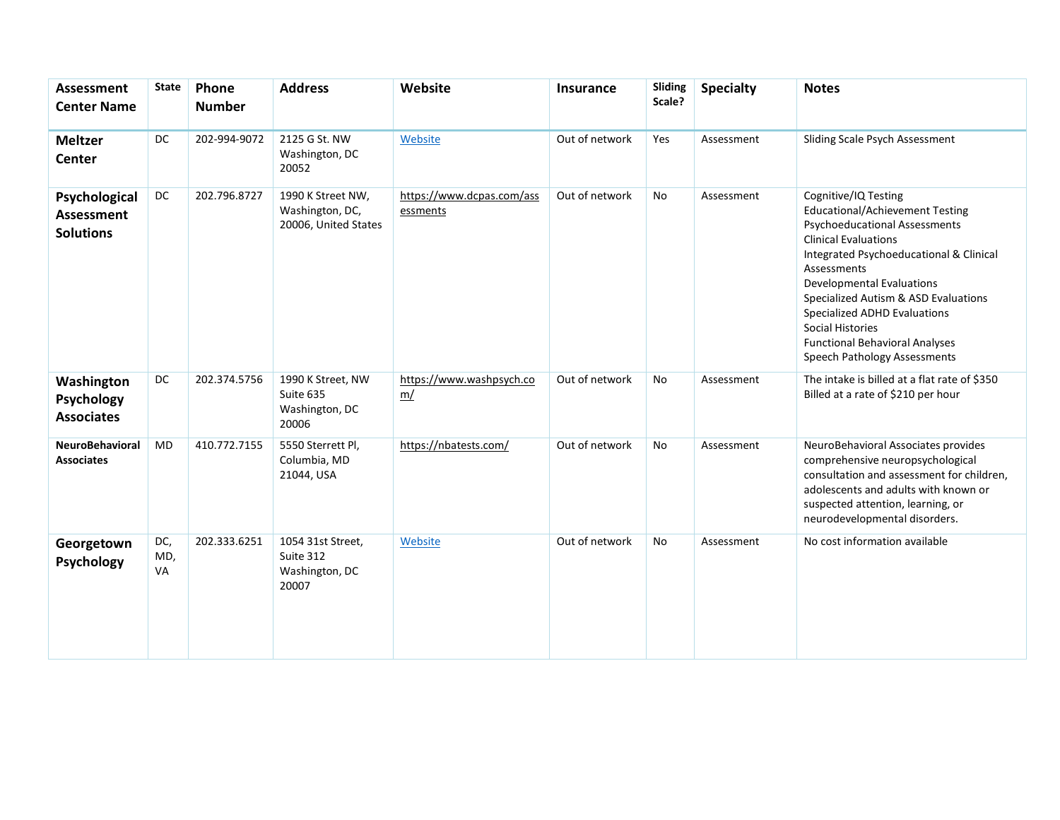| Assessment<br><b>Center Name</b>                       | <b>State</b>     | Phone<br><b>Number</b> | <b>Address</b>                                               | Website                               | <b>Insurance</b> | Sliding<br>Scale? | <b>Specialty</b> | <b>Notes</b>                                                                                                                                                                                                                                                                                                                                                                                                    |
|--------------------------------------------------------|------------------|------------------------|--------------------------------------------------------------|---------------------------------------|------------------|-------------------|------------------|-----------------------------------------------------------------------------------------------------------------------------------------------------------------------------------------------------------------------------------------------------------------------------------------------------------------------------------------------------------------------------------------------------------------|
| <b>Meltzer</b><br><b>Center</b>                        | <b>DC</b>        | 202-994-9072           | 2125 G St. NW<br>Washington, DC<br>20052                     | Website                               | Out of network   | Yes               | Assessment       | Sliding Scale Psych Assessment                                                                                                                                                                                                                                                                                                                                                                                  |
| Psychological<br><b>Assessment</b><br><b>Solutions</b> | <b>DC</b>        | 202.796.8727           | 1990 K Street NW,<br>Washington, DC,<br>20006, United States | https://www.dcpas.com/ass<br>essments | Out of network   | <b>No</b>         | Assessment       | Cognitive/IQ Testing<br><b>Educational/Achievement Testing</b><br><b>Psychoeducational Assessments</b><br><b>Clinical Evaluations</b><br>Integrated Psychoeducational & Clinical<br>Assessments<br><b>Developmental Evaluations</b><br>Specialized Autism & ASD Evaluations<br>Specialized ADHD Evaluations<br><b>Social Histories</b><br><b>Functional Behavioral Analyses</b><br>Speech Pathology Assessments |
| Washington<br>Psychology<br><b>Associates</b>          | DC               | 202.374.5756           | 1990 K Street, NW<br>Suite 635<br>Washington, DC<br>20006    | https://www.washpsych.co<br>m/        | Out of network   | <b>No</b>         | Assessment       | The intake is billed at a flat rate of \$350<br>Billed at a rate of \$210 per hour                                                                                                                                                                                                                                                                                                                              |
| <b>NeuroBehavioral</b><br><b>Associates</b>            | <b>MD</b>        | 410.772.7155           | 5550 Sterrett Pl,<br>Columbia, MD<br>21044, USA              | https://nbatests.com/                 | Out of network   | <b>No</b>         | Assessment       | NeuroBehavioral Associates provides<br>comprehensive neuropsychological<br>consultation and assessment for children,<br>adolescents and adults with known or<br>suspected attention, learning, or<br>neurodevelopmental disorders.                                                                                                                                                                              |
| Georgetown<br>Psychology                               | DC,<br>MD,<br>VA | 202.333.6251           | 1054 31st Street,<br>Suite 312<br>Washington, DC<br>20007    | Website                               | Out of network   | No                | Assessment       | No cost information available                                                                                                                                                                                                                                                                                                                                                                                   |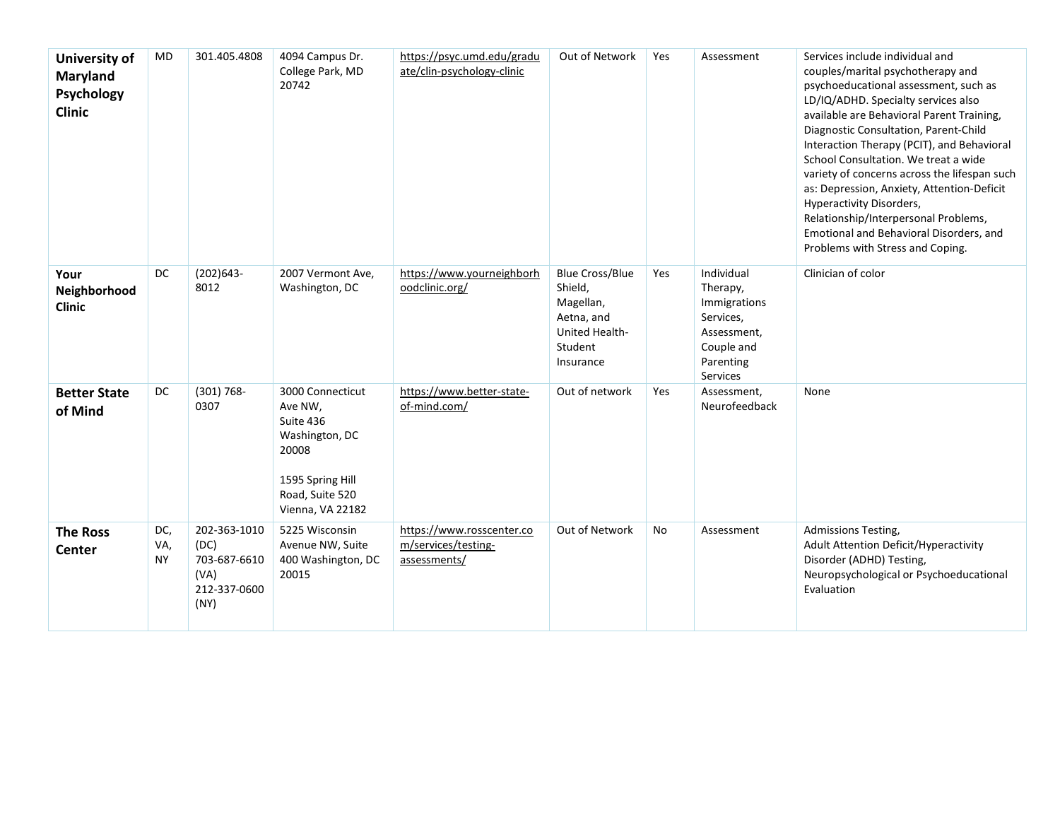| University of<br><b>Maryland</b><br>Psychology<br><b>Clinic</b> | MD                      | 301.405.4808                                                         | 4094 Campus Dr.<br>College Park, MD<br>20742                                                                                   | https://psyc.umd.edu/gradu<br>ate/clin-psychology-clinic         | Out of Network                                                                                         | Yes | Assessment                                                                                                | Services include individual and<br>couples/marital psychotherapy and<br>psychoeducational assessment, such as<br>LD/IQ/ADHD. Specialty services also<br>available are Behavioral Parent Training,<br>Diagnostic Consultation, Parent-Child<br>Interaction Therapy (PCIT), and Behavioral<br>School Consultation. We treat a wide<br>variety of concerns across the lifespan such<br>as: Depression, Anxiety, Attention-Deficit<br><b>Hyperactivity Disorders,</b><br>Relationship/Interpersonal Problems,<br>Emotional and Behavioral Disorders, and<br>Problems with Stress and Coping. |
|-----------------------------------------------------------------|-------------------------|----------------------------------------------------------------------|--------------------------------------------------------------------------------------------------------------------------------|------------------------------------------------------------------|--------------------------------------------------------------------------------------------------------|-----|-----------------------------------------------------------------------------------------------------------|------------------------------------------------------------------------------------------------------------------------------------------------------------------------------------------------------------------------------------------------------------------------------------------------------------------------------------------------------------------------------------------------------------------------------------------------------------------------------------------------------------------------------------------------------------------------------------------|
| Your<br>Neighborhood<br><b>Clinic</b>                           | <b>DC</b>               | $(202)643-$<br>8012                                                  | 2007 Vermont Ave,<br>Washington, DC                                                                                            | https://www.yourneighborh<br>oodclinic.org/                      | <b>Blue Cross/Blue</b><br>Shield,<br>Magellan,<br>Aetna, and<br>United Health-<br>Student<br>Insurance | Yes | Individual<br>Therapy,<br>Immigrations<br>Services,<br>Assessment,<br>Couple and<br>Parenting<br>Services | Clinician of color                                                                                                                                                                                                                                                                                                                                                                                                                                                                                                                                                                       |
| <b>Better State</b><br>of Mind                                  | DC                      | $(301) 768 -$<br>0307                                                | 3000 Connecticut<br>Ave NW,<br>Suite 436<br>Washington, DC<br>20008<br>1595 Spring Hill<br>Road, Suite 520<br>Vienna, VA 22182 | https://www.better-state-<br>of-mind.com/                        | Out of network                                                                                         | Yes | Assessment,<br>Neurofeedback                                                                              | None                                                                                                                                                                                                                                                                                                                                                                                                                                                                                                                                                                                     |
| <b>The Ross</b><br><b>Center</b>                                | DC,<br>VA,<br><b>NY</b> | 202-363-1010<br>(DC)<br>703-687-6610<br>(VA)<br>212-337-0600<br>(NY) | 5225 Wisconsin<br>Avenue NW, Suite<br>400 Washington, DC<br>20015                                                              | https://www.rosscenter.co<br>m/services/testing-<br>assessments/ | Out of Network                                                                                         | No  | Assessment                                                                                                | <b>Admissions Testing,</b><br>Adult Attention Deficit/Hyperactivity<br>Disorder (ADHD) Testing,<br>Neuropsychological or Psychoeducational<br>Evaluation                                                                                                                                                                                                                                                                                                                                                                                                                                 |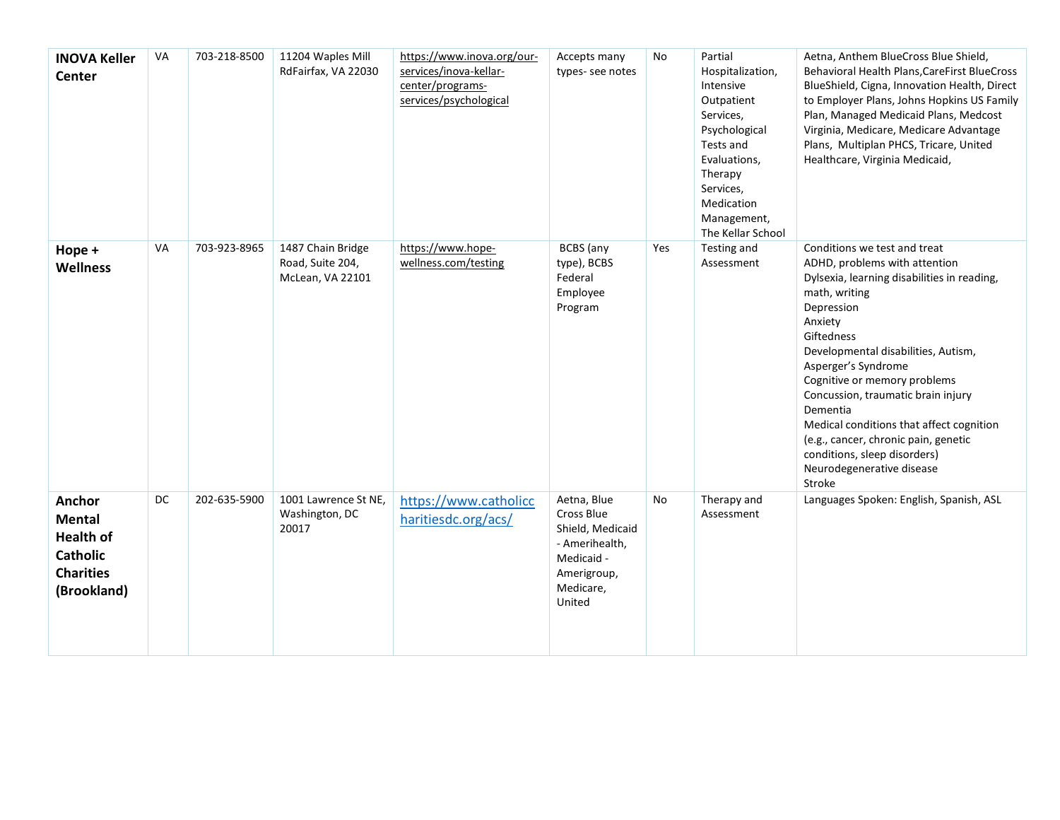| <b>INOVA Keller</b><br><b>Center</b>                                                              | VA | 703-218-8500 | 11204 Waples Mill<br>RdFairfax, VA 22030                  | https://www.inova.org/our-<br>services/inova-kellar-<br>center/programs-<br>services/psychological | Accepts many<br>types-see notes                                                                                     | No  | Partial<br>Hospitalization,<br>Intensive<br>Outpatient<br>Services,<br>Psychological<br>Tests and<br>Evaluations,<br>Therapy<br>Services,<br>Medication<br>Management,<br>The Kellar School | Aetna, Anthem BlueCross Blue Shield,<br>Behavioral Health Plans, CareFirst BlueCross<br>BlueShield, Cigna, Innovation Health, Direct<br>to Employer Plans, Johns Hopkins US Family<br>Plan, Managed Medicaid Plans, Medcost<br>Virginia, Medicare, Medicare Advantage<br>Plans, Multiplan PHCS, Tricare, United<br>Healthcare, Virginia Medicaid,                                                                                                                               |
|---------------------------------------------------------------------------------------------------|----|--------------|-----------------------------------------------------------|----------------------------------------------------------------------------------------------------|---------------------------------------------------------------------------------------------------------------------|-----|---------------------------------------------------------------------------------------------------------------------------------------------------------------------------------------------|---------------------------------------------------------------------------------------------------------------------------------------------------------------------------------------------------------------------------------------------------------------------------------------------------------------------------------------------------------------------------------------------------------------------------------------------------------------------------------|
| Hope +<br><b>Wellness</b>                                                                         | VA | 703-923-8965 | 1487 Chain Bridge<br>Road, Suite 204,<br>McLean, VA 22101 | https://www.hope-<br>wellness.com/testing                                                          | <b>BCBS</b> (any<br>type), BCBS<br>Federal<br>Employee<br>Program                                                   | Yes | Testing and<br>Assessment                                                                                                                                                                   | Conditions we test and treat<br>ADHD, problems with attention<br>Dylsexia, learning disabilities in reading,<br>math, writing<br>Depression<br>Anxiety<br>Giftedness<br>Developmental disabilities, Autism,<br>Asperger's Syndrome<br>Cognitive or memory problems<br>Concussion, traumatic brain injury<br>Dementia<br>Medical conditions that affect cognition<br>(e.g., cancer, chronic pain, genetic<br>conditions, sleep disorders)<br>Neurodegenerative disease<br>Stroke |
| Anchor<br><b>Mental</b><br><b>Health of</b><br><b>Catholic</b><br><b>Charities</b><br>(Brookland) | DC | 202-635-5900 | 1001 Lawrence St NE,<br>Washington, DC<br>20017           | https://www.catholicc<br>haritiesdc.org/acs/                                                       | Aetna, Blue<br>Cross Blue<br>Shield, Medicaid<br>- Amerihealth,<br>Medicaid -<br>Amerigroup,<br>Medicare,<br>United | No  | Therapy and<br>Assessment                                                                                                                                                                   | Languages Spoken: English, Spanish, ASL                                                                                                                                                                                                                                                                                                                                                                                                                                         |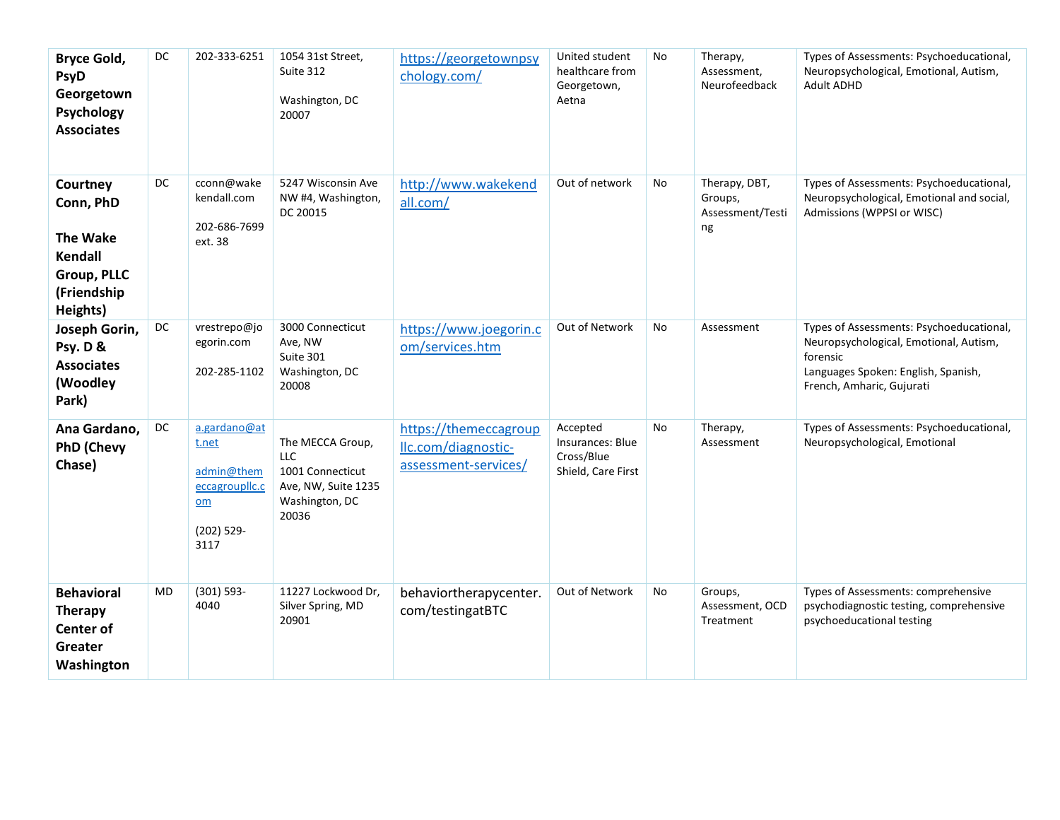| <b>Bryce Gold,</b><br><b>PsyD</b><br>Georgetown<br>Psychology<br><b>Associates</b>                   | DC        | 202-333-6251                                                                          | 1054 31st Street,<br>Suite 312<br>Washington, DC<br>20007                                            | https://georgetownpsy<br>chology.com/                                | United student<br>healthcare from<br>Georgetown,<br>Aetna        | No | Therapy,<br>Assessment,<br>Neurofeedback           | Types of Assessments: Psychoeducational,<br>Neuropsychological, Emotional, Autism,<br><b>Adult ADHD</b>                                                            |
|------------------------------------------------------------------------------------------------------|-----------|---------------------------------------------------------------------------------------|------------------------------------------------------------------------------------------------------|----------------------------------------------------------------------|------------------------------------------------------------------|----|----------------------------------------------------|--------------------------------------------------------------------------------------------------------------------------------------------------------------------|
| Courtney<br>Conn, PhD<br><b>The Wake</b><br><b>Kendall</b><br>Group, PLLC<br>(Friendship<br>Heights) | DC        | cconn@wake<br>kendall.com<br>202-686-7699<br>ext. 38                                  | 5247 Wisconsin Ave<br>NW #4, Washington,<br>DC 20015                                                 | http://www.wakekend<br>all.com/                                      | Out of network                                                   | No | Therapy, DBT,<br>Groups,<br>Assessment/Testi<br>ng | Types of Assessments: Psychoeducational,<br>Neuropsychological, Emotional and social,<br>Admissions (WPPSI or WISC)                                                |
| Joseph Gorin,<br>Psy. D &<br><b>Associates</b><br>(Woodley<br>Park)                                  | DC        | vrestrepo@jo<br>egorin.com<br>202-285-1102                                            | 3000 Connecticut<br>Ave, NW<br>Suite 301<br>Washington, DC<br>20008                                  | https://www.joegorin.c<br>om/services.htm                            | Out of Network                                                   | No | Assessment                                         | Types of Assessments: Psychoeducational,<br>Neuropsychological, Emotional, Autism,<br>forensic<br>Languages Spoken: English, Spanish,<br>French, Amharic, Gujurati |
| Ana Gardano,<br><b>PhD (Chevy</b><br>Chase)                                                          | DC        | a.gardano@at<br>t.net<br>admin@them<br>eccagrouplic.c<br>$om$<br>$(202)$ 529-<br>3117 | The MECCA Group,<br><b>LLC</b><br>1001 Connecticut<br>Ave, NW, Suite 1235<br>Washington, DC<br>20036 | https://themeccagroup<br>Ilc.com/diagnostic-<br>assessment-services/ | Accepted<br>Insurances: Blue<br>Cross/Blue<br>Shield, Care First | No | Therapy,<br>Assessment                             | Types of Assessments: Psychoeducational,<br>Neuropsychological, Emotional                                                                                          |
| <b>Behavioral</b><br><b>Therapy</b><br><b>Center of</b><br>Greater<br>Washington                     | <b>MD</b> | $(301) 593 -$<br>4040                                                                 | 11227 Lockwood Dr,<br>Silver Spring, MD<br>20901                                                     | behaviortherapycenter.<br>com/testingatBTC                           | Out of Network                                                   | No | Groups,<br>Assessment, OCD<br>Treatment            | Types of Assessments: comprehensive<br>psychodiagnostic testing, comprehensive<br>psychoeducational testing                                                        |